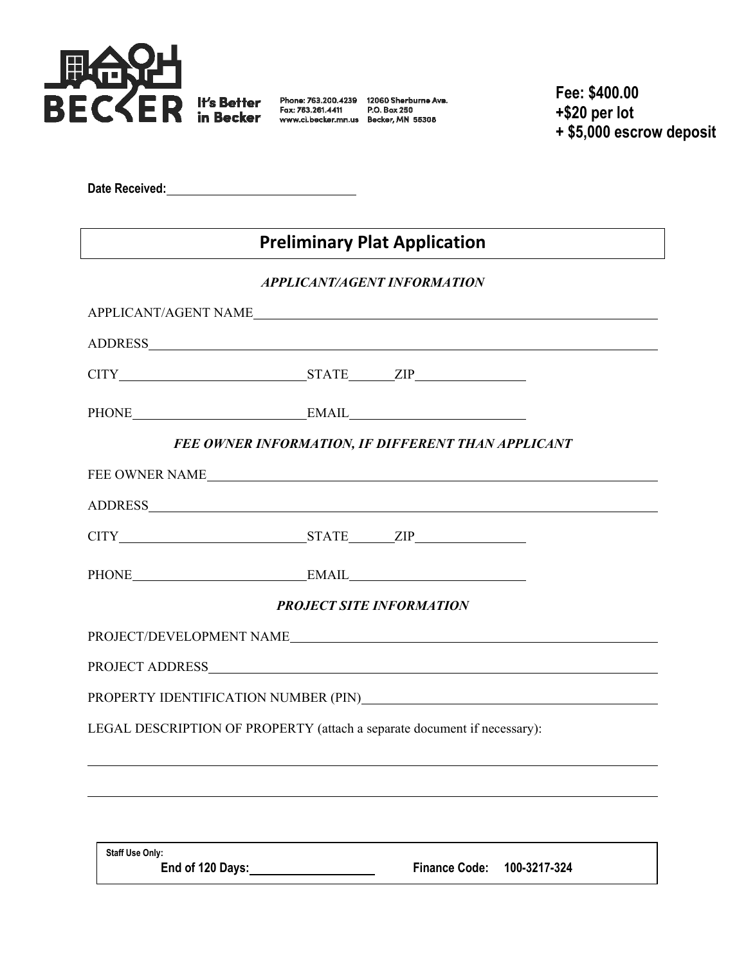

**Fee: \$400.00 +\$20 per lot + \$5,000 escrow deposit**

**Date Received:**

## **Preliminary Plat Application**

## *APPLICANT/AGENT INFORMATION*

| CITY STATE ZIP                                                           |  |
|--------------------------------------------------------------------------|--|
| PHONE EMAIL EMAIL                                                        |  |
| FEE OWNER INFORMATION, IF DIFFERENT THAN APPLICANT                       |  |
| FEE OWNER NAME                                                           |  |
|                                                                          |  |
|                                                                          |  |
| PHONE EMAIL EMAIL                                                        |  |
| <b>PROJECT SITE INFORMATION</b>                                          |  |
|                                                                          |  |
|                                                                          |  |
|                                                                          |  |
| LEGAL DESCRIPTION OF PROPERTY (attach a separate document if necessary): |  |
|                                                                          |  |
|                                                                          |  |

**Staff Use Only:**

**End of 120 Days: Finance Code: 100-3217-324**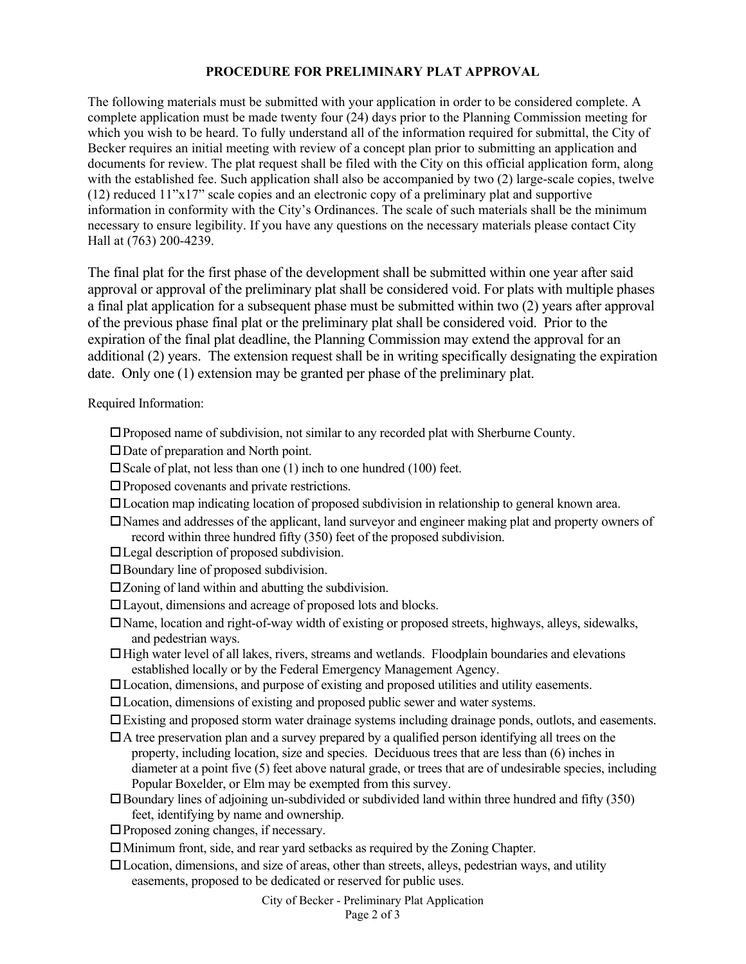## **PROCEDURE FOR PRELIMINARY PLAT APPROVAL**

The following materials must be submitted with your application in order to be considered complete. A complete application must be made twenty four (24) days prior to the Planning Commission meeting for which you wish to be heard. To fully understand all of the information required for submittal, the City of Becker requires an initial meeting with review of a concept plan prior to submitting an application and documents for review. The plat request shall be filed with the City on this official application form, along with the established fee. Such application shall also be accompanied by two (2) large-scale copies, twelve (12) reduced 11"x17" scale copies and an electronic copy of a preliminary plat and supportive information in conformity with the City's Ordinances. The scale of such materials shall be the minimum necessary to ensure legibility. If you have any questions on the necessary materials please contact City Hall at (763) 200-4239.

The final plat for the first phase of the development shall be submitted within one year after said approval or approval of the preliminary plat shall be considered void. For plats with multiple phases a final plat application for a subsequent phase must be submitted within two (2) years after approval of the previous phase final plat or the preliminary plat shall be considered void. Prior to the expiration of the final plat deadline, the Planning Commission may extend the approval for an additional (2) years. The extension request shall be in writing specifically designating the expiration date. Only one (1) extension may be granted per phase of the preliminary plat.

Required Information:

- Proposed name of subdivision, not similar to any recorded plat with Sherburne County.
- $\square$  Date of preparation and North point.
- $\square$  Scale of plat, not less than one (1) inch to one hundred (100) feet.
- Proposed covenants and private restrictions.
- Location map indicating location of proposed subdivision in relationship to general known area.
- Names and addresses of the applicant, land surveyor and engineer making plat and property owners of record within three hundred fifty (350) feet of the proposed subdivision.
- Legal description of proposed subdivision.
- Boundary line of proposed subdivision.
- Zoning of land within and abutting the subdivision.
- Layout, dimensions and acreage of proposed lots and blocks.
- Name, location and right-of-way width of existing or proposed streets, highways, alleys, sidewalks, and pedestrian ways.
- $\Box$  High water level of all lakes, rivers, streams and wetlands. Floodplain boundaries and elevations established locally or by the Federal Emergency Management Agency.
- Location, dimensions, and purpose of existing and proposed utilities and utility easements.
- Location, dimensions of existing and proposed public sewer and water systems.
- Existing and proposed storm water drainage systems including drainage ponds, outlots, and easements.
- $\Box$  A tree preservation plan and a survey prepared by a qualified person identifying all trees on the property, including location, size and species. Deciduous trees that are less than (6) inches in diameter at a point five (5) feet above natural grade, or trees that are of undesirable species, including Popular Boxelder, or Elm may be exempted from this survey.
- Boundary lines of adjoining un-subdivided or subdivided land within three hundred and fifty (350) feet, identifying by name and ownership.
- Proposed zoning changes, if necessary.
- Minimum front, side, and rear yard setbacks as required by the Zoning Chapter.
- Location, dimensions, and size of areas, other than streets, alleys, pedestrian ways, and utility easements, proposed to be dedicated or reserved for public uses.

City of Becker - Preliminary Plat Application Page 2 of 3